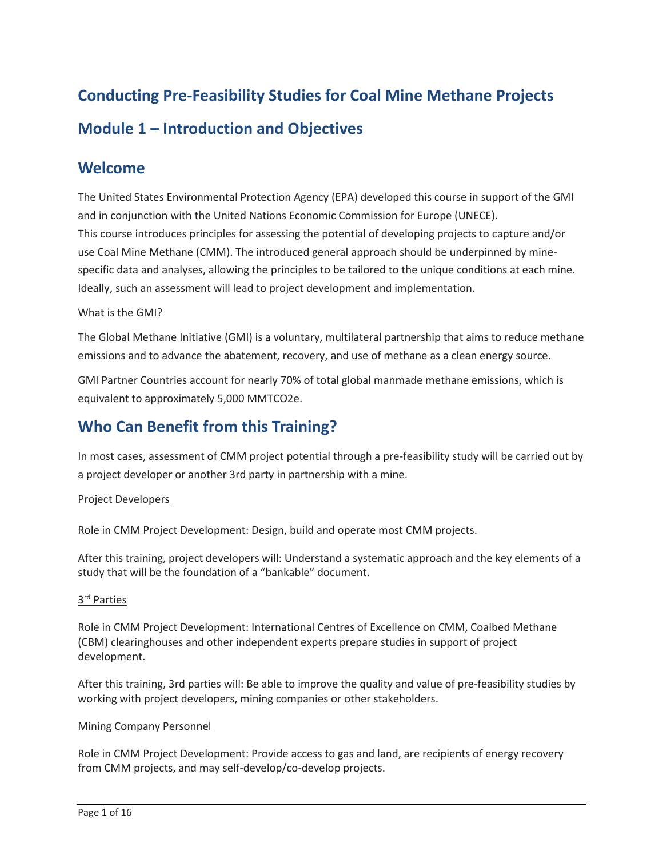# **Conducting Pre-Feasibility Studies for Coal Mine Methane Projects Module 1 – Introduction and Objectives**

### **Welcome**

 The United States Environmental Protection Agency (EPA) developed this course in support of the GMI specific data and analyses, allowing the principles to be tailored to the unique conditions at each mine. and in conjunction with the United Nations Economic Commission for Europe (UNECE). This course introduces principles for assessing the potential of developing projects to capture and/or use Coal Mine Methane (CMM). The introduced general approach should be underpinned by mine-Ideally, such an assessment will lead to project development and implementation.

#### What is the GMI?

 The Global Methane Initiative (GMI) is a voluntary, multilateral partnership that aims to reduce methane emissions and to advance the abatement, recovery, and use of methane as a clean energy source.

GMI Partner Countries account for nearly 70% of total global manmade methane emissions, which is equivalent to approximately 5,000 MMTCO2e.

# **Who Can Benefit from this Training?**

 In most cases, assessment of CMM project potential through a pre-feasibility study will be carried out by a project developer or another 3rd party in partnership with a mine.

#### Project Developers

Role in CMM Project Development: Design, build and operate most CMM projects.

 After this training, project developers will: Understand a systematic approach and the key elements of a study that will be the foundation of a "bankable" document.

#### 3<sup>rd</sup> Parties

 (CBM) clearinghouses and other independent experts prepare studies in support of project Role in CMM Project Development: International Centres of Excellence on CMM, Coalbed Methane development.

 After this training, 3rd parties will: Be able to improve the quality and value of pre-feasibility studies by working with project developers, mining companies or other stakeholders.

#### Mining Company Personnel

 Role in CMM Project Development: Provide access to gas and land, are recipients of energy recovery from CMM projects, and may self-develop/co-develop projects.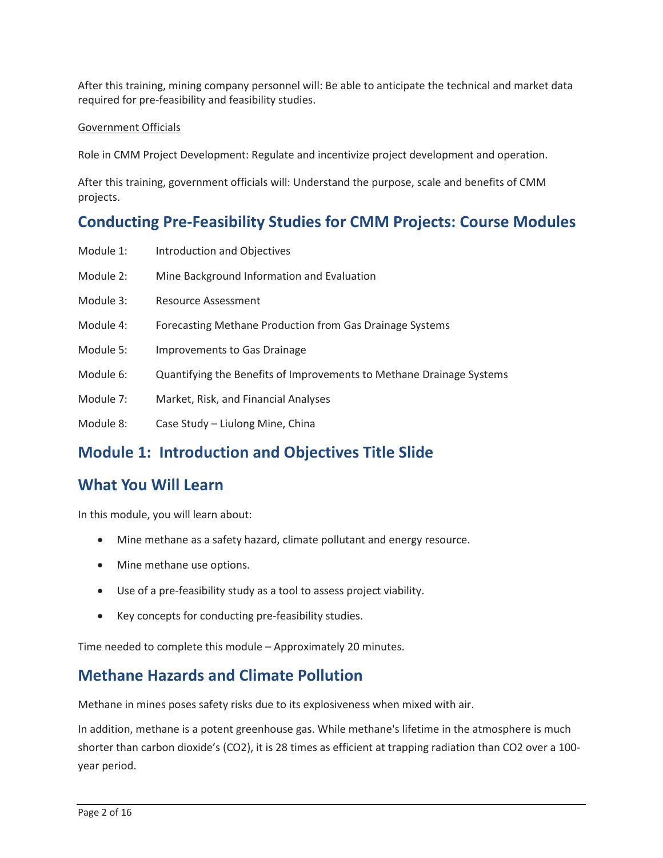After this training, mining company personnel will: Be able to anticipate the technical and market data required for pre-feasibility and feasibility studies.

#### Government Officials

Role in CMM Project Development: Regulate and incentivize project development and operation.

 After this training, government officials will: Understand the purpose, scale and benefits of CMM projects.

## **Conducting Pre-Feasibility Studies for CMM Projects: Course Modules**

- Module 1: Introduction and Objectives
- Module 2: Mine Background Information and Evaluation
- Module 3: Resource Assessment
- Module 4: Forecasting Methane Production from Gas Drainage Systems
- Module 5: Improvements to Gas Drainage
- Module 6: Quantifying the Benefits of Improvements to Methane Drainage Systems
- Module 7: Market, Risk, and Financial Analyses
- Module 8: Case Study Liulong Mine, China

# **Module 1: Introduction and Objectives Title Slide**

# **What You Will Learn**

In this module, you will learn about:

- Mine methane as a safety hazard, climate pollutant and energy resource.
- Mine methane use options.
- Use of a pre-feasibility study as a tool to assess project viability.
- Key concepts for conducting pre-feasibility studies.

Time needed to complete this module – Approximately 20 minutes.

## **Methane Hazards and Climate Pollution**

Methane in mines poses safety risks due to its explosiveness when mixed with air.

 In addition, methane is a potent greenhouse gas. While methane's lifetime in the atmosphere is much shorter than carbon dioxide's (CO2), it is 28 times as efficient at trapping radiation than CO2 over a 100 year period.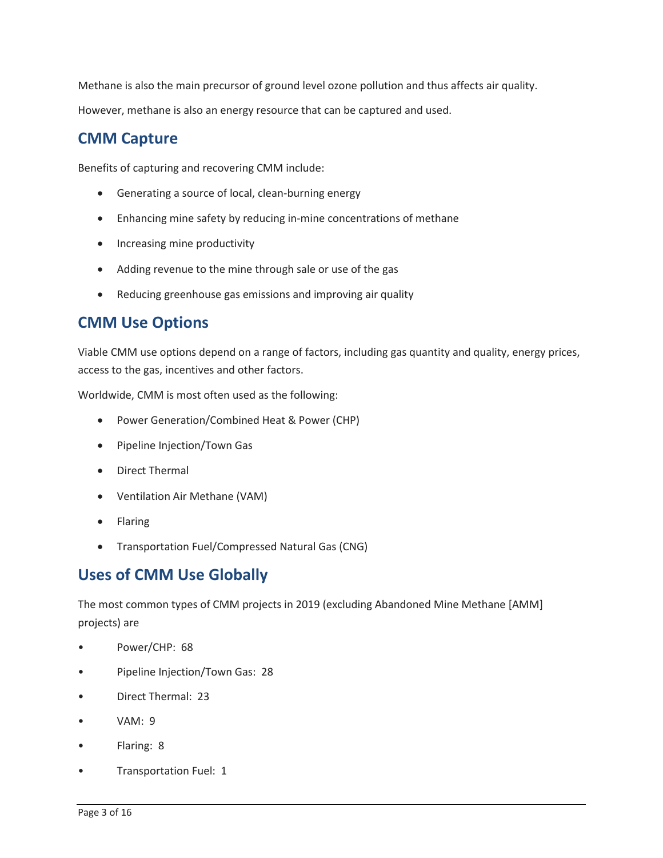Methane is also the main precursor of ground level ozone pollution and thus affects air quality. However, methane is also an energy resource that can be captured and used.

# **CMM Capture**

Benefits of capturing and recovering CMM include:

- Generating a source of local, clean-burning energy
- Enhancing mine safety by reducing in-mine concentrations of methane
- Increasing mine productivity
- Adding revenue to the mine through sale or use of the gas
- Reducing greenhouse gas emissions and improving air quality

# **CMM Use Options**

Viable CMM use options depend on a range of factors, including gas quantity and quality, energy prices, access to the gas, incentives and other factors.

Worldwide, CMM is most often used as the following:

- Power Generation/Combined Heat & Power (CHP)
- Pipeline Injection/Town Gas
- Direct Thermal
- Ventilation Air Methane (VAM)
- Flaring
- Transportation Fuel/Compressed Natural Gas (CNG)

# **Uses of CMM Use Globally**

 projects) are The most common types of CMM projects in 2019 (excluding Abandoned Mine Methane [AMM]

- Power/CHP: 68
- Pipeline Injection/Town Gas: 28
- Direct Thermal: 23
- VAM: 9
- Flaring: 8
- Transportation Fuel: 1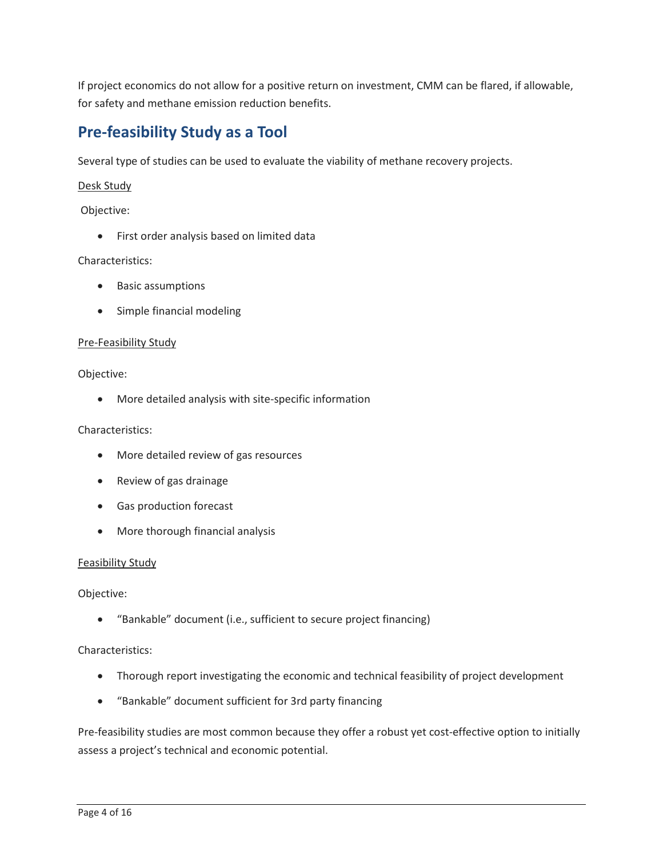for safety and methane emission reduction benefits. If project economics do not allow for a positive return on investment, CMM can be flared, if allowable,

# **Pre-feasibility Study as a Tool**

Several type of studies can be used to evaluate the viability of methane recovery projects.

#### Desk Study

Objective:

• First order analysis based on limited data

#### Characteristics:

- Basic assumptions
- Simple financial modeling

#### Pre-Feasibility Study

#### Objective:

• More detailed analysis with site-specific information

#### Characteristics:

- More detailed review of gas resources
- Review of gas drainage
- Gas production forecast
- More thorough financial analysis

#### Feasibility Study

#### Objective:

• "Bankable" document (i.e., sufficient to secure project financing)

#### Characteristics:

- Thorough report investigating the economic and technical feasibility of project development
- "Bankable" document sufficient for 3rd party financing

 Pre-feasibility studies are most common because they offer a robust yet cost-effective option to initially assess a project's technical and economic potential.<br>Page 4 of 16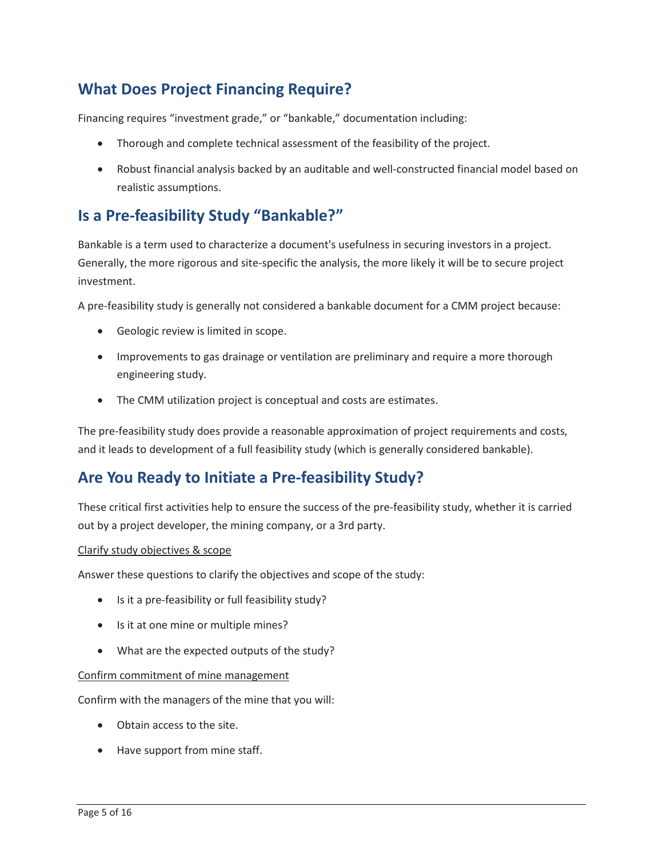# **What Does Project Financing Require?**

Financing requires "investment grade," or "bankable," documentation including:

- Thorough and complete technical assessment of the feasibility of the project.
- Robust financial analysis backed by an auditable and well-constructed financial model based on realistic assumptions.

## **Is a Pre-feasibility Study "Bankable?"**

Bankable is a term used to characterize a document's usefulness in securing investors in a project. Generally, the more rigorous and site-specific the analysis, the more likely it will be to secure project investment.

A pre-feasibility study is generally not considered a bankable document for a CMM project because:

- Geologic review is limited in scope.
- • Improvements to gas drainage or ventilation are preliminary and require a more thorough engineering study.
- The CMM utilization project is conceptual and costs are estimates.

 and it leads to development of a full feasibility study (which is generally considered bankable). The pre-feasibility study does provide a reasonable approximation of project requirements and costs,

## **Are You Ready to Initiate a Pre-feasibility Study?**

 out by a project developer, the mining company, or a 3rd party. These critical first activities help to ensure the success of the pre-feasibility study, whether it is carried

#### Clarify study objectives & scope

Answer these questions to clarify the objectives and scope of the study:

- Is it a pre-feasibility or full feasibility study?
- Is it at one mine or multiple mines?
- What are the expected outputs of the study?

#### Confirm commitment of mine management

Confirm with the managers of the mine that you will:

- Obtain access to the site.
- Have support from mine staff.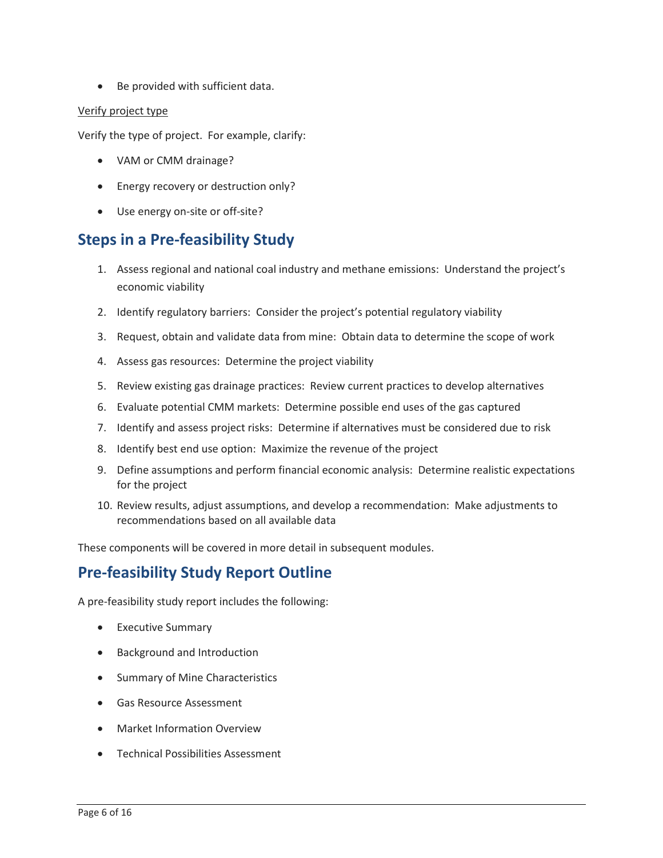• Be provided with sufficient data.

#### Verify project type

Verify the type of project. For example, clarify:

- VAM or CMM drainage?
- Energy recovery or destruction only?
- Use energy on-site or off-site?

### **Steps in a Pre-feasibility Study**

- 1. Assess regional and national coal industry and methane emissions: Understand the project's economic viability
- 2. Identify regulatory barriers: Consider the project's potential regulatory viability
- 3. Request, obtain and validate data from mine: Obtain data to determine the scope of work
- 4. Assess gas resources: Determine the project viability
- 5. Review existing gas drainage practices: Review current practices to develop alternatives
- 6. Evaluate potential CMM markets: Determine possible end uses of the gas captured
- 7. Identify and assess project risks: Determine if alternatives must be considered due to risk
- 8. Identify best end use option: Maximize the revenue of the project
- 9. Define assumptions and perform financial economic analysis: Determine realistic expectations for the project
- 10. Review results, adjust assumptions, and develop a recommendation: Make adjustments to recommendations based on all available data

These components will be covered in more detail in subsequent modules.

## **Pre-feasibility Study Report Outline**

A pre-feasibility study report includes the following:

- Executive Summary
- Background and Introduction
- Summary of Mine Characteristics
- Gas Resource Assessment
- Market Information Overview
- Technical Possibilities Assessment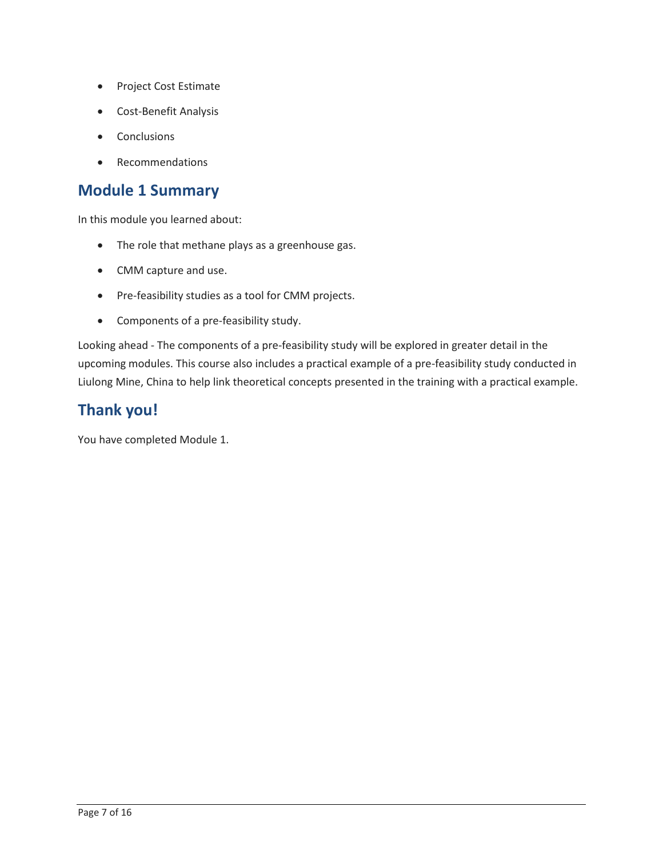- Project Cost Estimate
- Cost-Benefit Analysis
- Conclusions
- Recommendations

### **Module 1 Summary**

In this module you learned about:

- The role that methane plays as a greenhouse gas.
- CMM capture and use.
- Pre-feasibility studies as a tool for CMM projects.
- Components of a pre-feasibility study.

Looking ahead - The components of a pre-feasibility study will be explored in greater detail in the upcoming modules. This course also includes a practical example of a pre-feasibility study conducted in Liulong Mine, China to help link theoretical concepts presented in the training with a practical example.

# **Thank you!**

You have completed Module 1.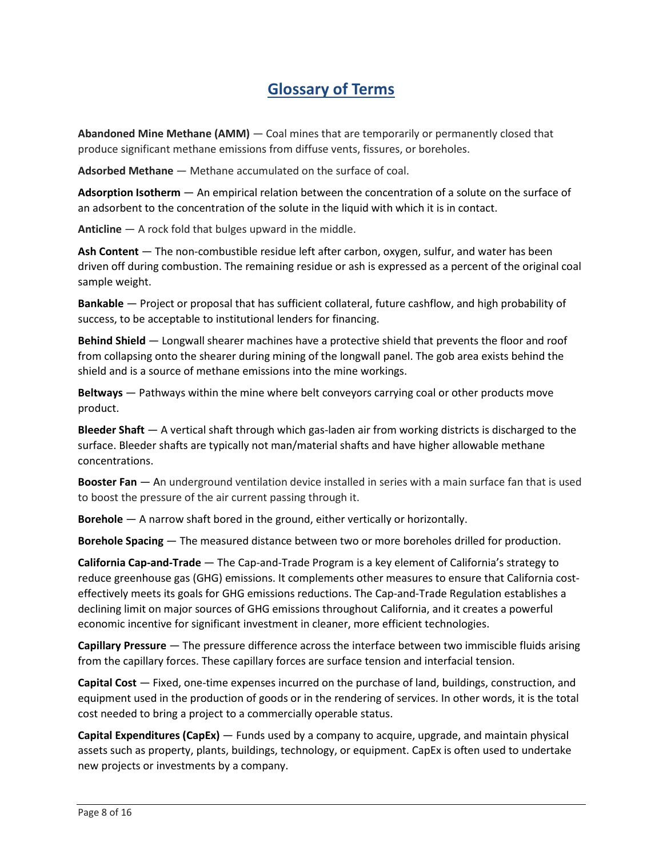# **Glossary of Terms**

 **Abandoned Mine Methane (AMM)** — Coal mines that are temporarily or permanently closed that  produce significant methane emissions from diffuse vents, fissures, or boreholes.

**Adsorbed Methane** — Methane accumulated on the surface of coal.

 **Adsorption Isotherm** — An empirical relation between the concentration of a solute on the surface of an adsorbent to the concentration of the solute in the liquid with which it is in contact.

**Anticline** — A rock fold that bulges upward in the middle.

 **Ash Content** — The non-combustible residue left after carbon, oxygen, sulfur, and water has been driven off during combustion. The remaining residue or ash is expressed as a percent of the original coal sample weight.

 **Bankable** — Project or proposal that has sufficient collateral, future cashflow, and high probability of success, to be acceptable to institutional lenders for financing.

 **Behind Shield** — Longwall shearer machines have a protective shield that prevents the floor and roof shield and is a source of methane emissions into the mine workings. from collapsing onto the shearer during mining of the longwall panel. The gob area exists behind the

 **Beltways** — Pathways within the mine where belt conveyors carrying coal or other products move product.

 **Bleeder Shaft** — A vertical shaft through which gas-laden air from working districts is discharged to the surface. Bleeder shafts are typically not man/material shafts and have higher allowable methane concentrations.

 **Booster Fan** — An underground ventilation device installed in series with a main surface fan that is used to boost the pressure of the air current passing through it.

**Borehole** — A narrow shaft bored in the ground, either vertically or horizontally.

**Borehole Spacing** — The measured distance between two or more boreholes drilled for production.

 **California Cap-and-Trade** — The Cap-and-Trade Program is a key element of California's strategy to declining limit on major sources of GHG emissions throughout California, and it creates a powerful reduce greenhouse gas (GHG) emissions. It complements other measures to ensure that California costeffectively meets its goals for GHG emissions reductions. The Cap-and-Trade Regulation establishes a economic incentive for significant investment in cleaner, more efficient technologies.

 **Capillary Pressure** — The pressure difference across the interface between two immiscible fluids arising from the capillary forces. These capillary forces are surface tension and interfacial tension.

 **Capital Cost** — Fixed, one-time expenses incurred on the purchase of land, buildings, construction, and equipment used in the production of goods or in the rendering of services. In other words, it is the total cost needed to bring a project to a commercially operable status.

 **Capital Expenditures (CapEx)** — Funds used by a company to acquire, upgrade, and maintain physical assets such as property, plants, buildings, technology, or equipment. CapEx is often used to undertake new projects or investments by a company.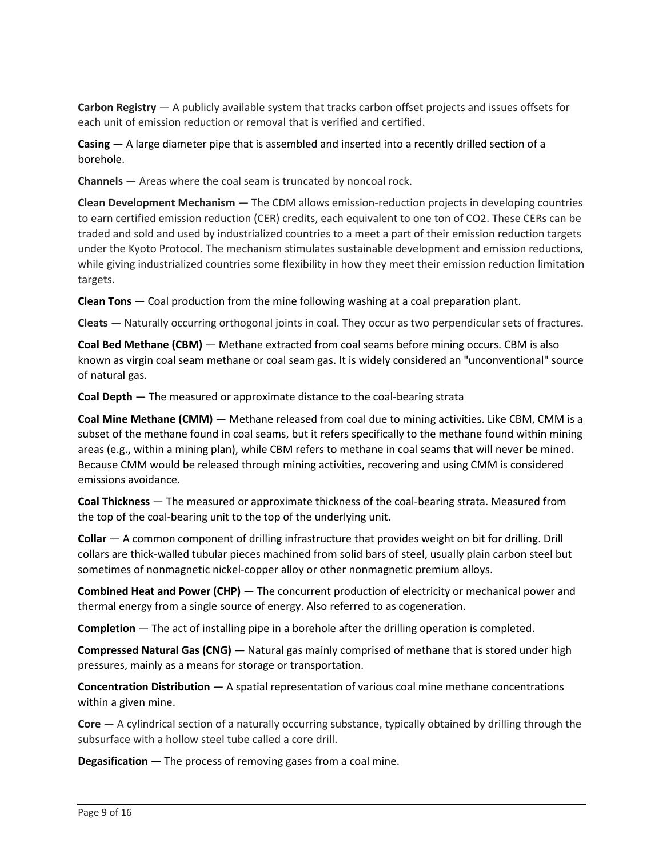**Carbon Registry** — A publicly available system that tracks carbon offset projects and issues offsets for each unit of emission reduction or removal that is verified and certified.

 **Casing** — A large diameter pipe that is assembled and inserted into a recently drilled section of a borehole.

**Channels** — Areas where the coal seam is truncated by noncoal rock.

 **Clean Development Mechanism** — The CDM allows emission-reduction projects in developing countries to earn certified emission reduction (CER) credits, each equivalent to one ton of CO2. These CERs can be traded and sold and used by industrialized countries to a meet a part of their emission reduction targets under the Kyoto Protocol. The mechanism stimulates sustainable development and emission reductions, while giving industrialized countries some flexibility in how they meet their emission reduction limitation targets.

**Clean Tons** — Coal production from the mine following washing at a coal preparation plant.

**Cleats** — Naturally occurring orthogonal joints in coal. They occur as two perpendicular sets of fractures.

 **Coal Bed Methane (CBM)** — Methane extracted from coal seams before mining occurs. CBM is also known as virgin coal seam methane or coal seam gas. It is widely considered an "unconventional" source of natural gas.

**Coal Depth** — The measured or approximate distance to the coal-bearing strata

 **Coal Mine Methane (CMM)** — Methane released from coal due to mining activities. Like CBM, CMM is a subset of the methane found in coal seams, but it refers specifically to the methane found within mining areas (e.g., within a mining plan), while CBM refers to methane in coal seams that will never be mined. Because CMM would be released through mining activities, recovering and using CMM is considered emissions avoidance.

 **Coal Thickness** — The measured or approximate thickness of the coal-bearing strata. Measured from the top of the coal-bearing unit to the top of the underlying unit.

 **Collar** — A common component of drilling infrastructure that provides weight on bit for drilling. Drill collars are thick-walled tubular pieces machined from solid bars of steel, usually plain carbon steel but sometimes of nonmagnetic nickel-copper alloy or other nonmagnetic premium alloys.

 **Combined Heat and Power (CHP)** — The concurrent production of electricity or mechanical power and thermal energy from a single source of energy. Also referred to as cogeneration.

**Completion** — The act of installing pipe in a borehole after the drilling operation is completed.

**Compressed Natural Gas (CNG) —** Natural gas mainly comprised of methane that is stored under high pressures, mainly as a means for storage or transportation.

 **Concentration Distribution** — A spatial representation of various coal mine methane concentrations within a given mine.

 **Core** — A cylindrical section of a naturally occurring substance, typically obtained by drilling through the subsurface with a hollow steel tube called a core drill.

**Degasification —** The process of removing gases from a coal mine.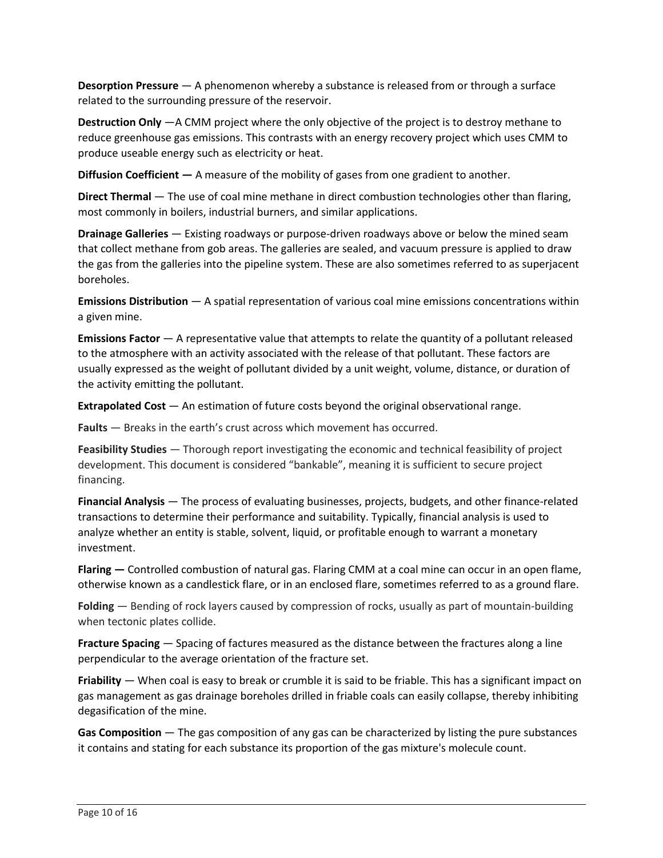**Desorption Pressure** — A phenomenon whereby a substance is released from or through a surface related to the surrounding pressure of the reservoir.

 **Destruction Only** —A CMM project where the only objective of the project is to destroy methane to reduce greenhouse gas emissions. This contrasts with an energy recovery project which uses CMM to produce useable energy such as electricity or heat.

**Diffusion Coefficient —** A measure of the mobility of gases from one gradient to another.

 **Direct Thermal** — The use of coal mine methane in direct combustion technologies other than flaring, most commonly in boilers, industrial burners, and similar applications.

 **Drainage Galleries** — Existing roadways or purpose-driven roadways above or below the mined seam that collect methane from gob areas. The galleries are sealed, and vacuum pressure is applied to draw the gas from the galleries into the pipeline system. These are also sometimes referred to as superjacent boreholes.

 **Emissions Distribution** — A spatial representation of various coal mine emissions concentrations within a given mine.

 **Emissions Factor** — A representative value that attempts to relate the quantity of a pollutant released usually expressed as the weight of pollutant divided by a unit weight, volume, distance, or duration of to the atmosphere with an activity associated with the release of that pollutant. These factors are the activity emitting the pollutant.

**Extrapolated Cost** — An estimation of future costs beyond the original observational range.

**Faults** — Breaks in the earth's crust across which movement has occurred.

 **Feasibility Studies** — Thorough report investigating the economic and technical feasibility of project development. This document is considered "bankable", meaning it is sufficient to secure project financing.

 **Financial Analysis** — The process of evaluating businesses, projects, budgets, and other finance-related analyze whether an entity is stable, solvent, liquid, or profitable enough to warrant a monetary transactions to determine their performance and suitability. Typically, financial analysis is used to investment.

 otherwise known as a candlestick flare, or in an enclosed flare, sometimes referred to as a ground flare. **Flaring —** Controlled combustion of natural gas. Flaring CMM at a coal mine can occur in an open flame,

 **Folding** — Bending of rock layers caused by compression of rocks, usually as part of mountain-building when tectonic plates collide.

 **Fracture Spacing** — Spacing of factures measured as the distance between the fractures along a line perpendicular to the average orientation of the fracture set.

 **Friability** — When coal is easy to break or crumble it is said to be friable. This has a significant impact on gas management as gas drainage boreholes drilled in friable coals can easily collapse, thereby inhibiting degasification of the mine.

 **Gas Composition** — The gas composition of any gas can be characterized by listing the pure substances it contains and stating for each substance its proportion of the gas mixture's molecule count.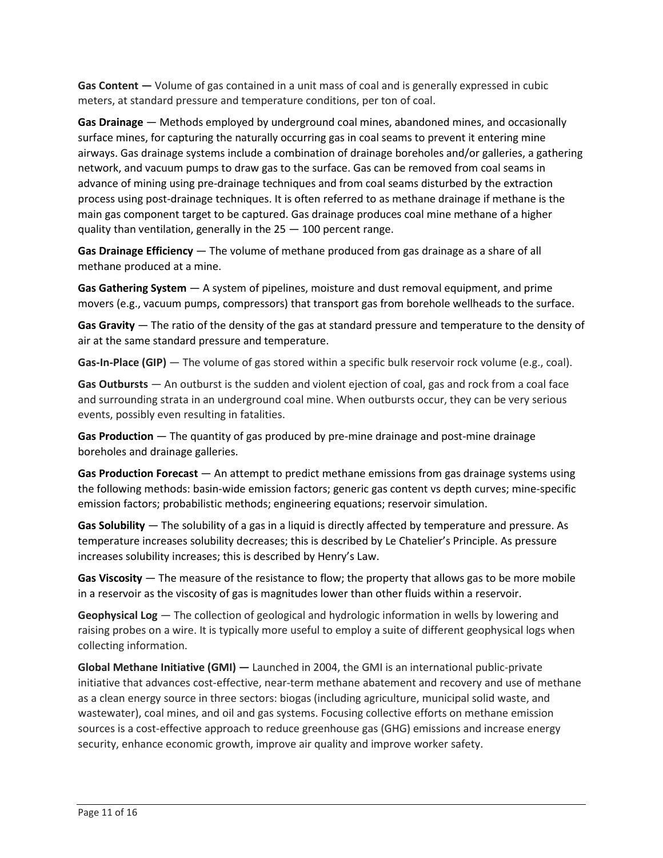**Gas Content —** Volume of gas contained in a unit mass of coal and is generally expressed in cubic meters, at standard pressure and temperature conditions, per ton of coal.

 **Gas Drainage** — Methods employed by underground coal mines, abandoned mines, and occasionally advance of mining using pre-drainage techniques and from coal seams disturbed by the extraction surface mines, for capturing the naturally occurring gas in coal seams to prevent it entering mine airways. Gas drainage systems include a combination of drainage boreholes and/or galleries, a gathering network, and vacuum pumps to draw gas to the surface. Gas can be removed from coal seams in process using post-drainage techniques. It is often referred to as methane drainage if methane is the main gas component target to be captured. Gas drainage produces coal mine methane of a higher quality than ventilation, generally in the 25 — 100 percent range.

 **Gas Drainage Efficiency** — The volume of methane produced from gas drainage as a share of all methane produced at a mine.

 **Gas Gathering System** — A system of pipelines, moisture and dust removal equipment, and prime  movers (e.g., vacuum pumps, compressors) that transport gas from borehole wellheads to the surface.

 **Gas Gravity** — The ratio of the density of the gas at standard pressure and temperature to the density of air at the same standard pressure and temperature.

Gas-In-Place (GIP) — The volume of gas stored within a specific bulk reservoir rock volume (e.g., coal).

 **Gas Outbursts** — An outburst is the sudden and violent ejection of coal, gas and rock from a coal face and surrounding strata in an underground coal mine. When outbursts occur, they can be very serious events, possibly even resulting in fatalities.

 **Gas Production** — The quantity of gas produced by pre-mine drainage and post-mine drainage boreholes and drainage galleries.

 **Gas Production Forecast** — An attempt to predict methane emissions from gas drainage systems using the following methods: basin-wide emission factors; generic gas content vs depth curves; mine-specific emission factors; probabilistic methods; engineering equations; reservoir simulation.

 **Gas Solubility** — The solubility of a gas in a liquid is directly affected by temperature and pressure. As temperature increases solubility decreases; this is described by Le Chatelier's Principle. As pressure increases solubility increases; this is described by Henry's Law.

 **Gas Viscosity** — The measure of the resistance to flow; the property that allows gas to be more mobile in a reservoir as the viscosity of gas is magnitudes lower than other fluids within a reservoir.

 **Geophysical Log** — The collection of geological and hydrologic information in wells by lowering and raising probes on a wire. It is typically more useful to employ a suite of different geophysical logs when collecting information.

 **Global Methane Initiative (GMI) —** Launched in 2004, the GMI is an international public-private initiative that advances cost-effective, near-term methane abatement and recovery and use of methane sources is a cost-effective approach to reduce greenhouse gas (GHG) emissions and increase energy as a clean energy source in three sectors: biogas (including agriculture, municipal solid waste, and wastewater), coal mines, and oil and gas systems. Focusing collective efforts on methane emission security, enhance economic growth, improve air quality and improve worker safety.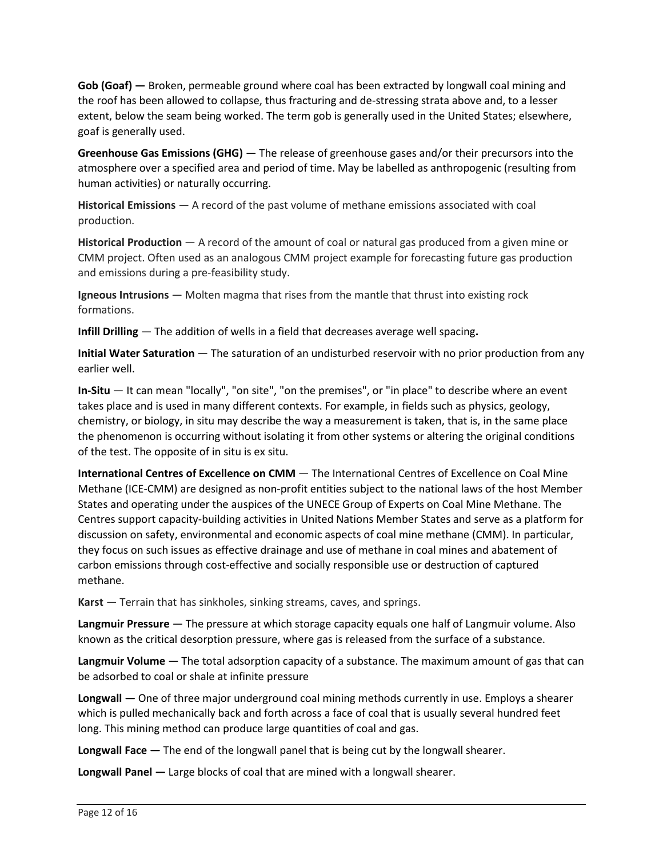**Gob (Goaf) —** Broken, permeable ground where coal has been extracted by longwall coal mining and the roof has been allowed to collapse, thus fracturing and de-stressing strata above and, to a lesser extent, below the seam being worked. The term gob is generally used in the United States; elsewhere, goaf is generally used.

 **Greenhouse Gas Emissions (GHG)** — The release of greenhouse gases and/or their precursors into the atmosphere over a specified area and period of time. May be labelled as anthropogenic (resulting from human activities) or naturally occurring.

 **Historical Emissions** — A record of the past volume of methane emissions associated with coal production.

 **Historical Production** — A record of the amount of coal or natural gas produced from a given mine or  and emissions during a pre-feasibility study. CMM project. Often used as an analogous CMM project example for forecasting future gas production

 **Igneous Intrusions** — Molten magma that rises from the mantle that thrust into existing rock formations.

**Infill Drilling** — The addition of wells in a field that decreases average well spacing**.** 

 **Initial Water Saturation** — The saturation of an undisturbed reservoir with no prior production from any earlier well.

 **In-Situ** — It can mean "locally", "on site", "on the premises", or "in place" to describe where an event takes place and is used in many different contexts. For example, in fields such as physics, geology, chemistry, or biology, in situ may describe the way a measurement is taken, that is, in the same place the phenomenon is occurring without isolating it from other systems or altering the original conditions of the test. The opposite of in situ is ex situ.

 **International Centres of Excellence on CMM** — The International Centres of Excellence on Coal Mine States and operating under the auspices of the UNECE Group of Experts on Coal Mine Methane. The Centres support capacity-building activities in United Nations Member States and serve as a platform for Methane (ICE-CMM) are designed as non-profit entities subject to the national laws of the host Member discussion on safety, environmental and economic aspects of coal mine methane (CMM). In particular, they focus on such issues as effective drainage and use of methane in coal mines and abatement of carbon emissions through cost-effective and socially responsible use or destruction of captured methane.

**Karst** — Terrain that has sinkholes, sinking streams, caves, and springs.

 **Langmuir Pressure** — The pressure at which storage capacity equals one half of Langmuir volume. Also known as the critical desorption pressure, where gas is released from the surface of a substance.

 **Langmuir Volume** — The total adsorption capacity of a substance. The maximum amount of gas that can be adsorbed to coal or shale at infinite pressure

 **Longwall —** One of three major underground coal mining methods currently in use. Employs a shearer long. This mining method can produce large quantities of coal and gas. which is pulled mechanically back and forth across a face of coal that is usually several hundred feet

**Longwall Face —** The end of the longwall panel that is being cut by the longwall shearer.

**Longwall Panel —** Large blocks of coal that are mined with a longwall shearer.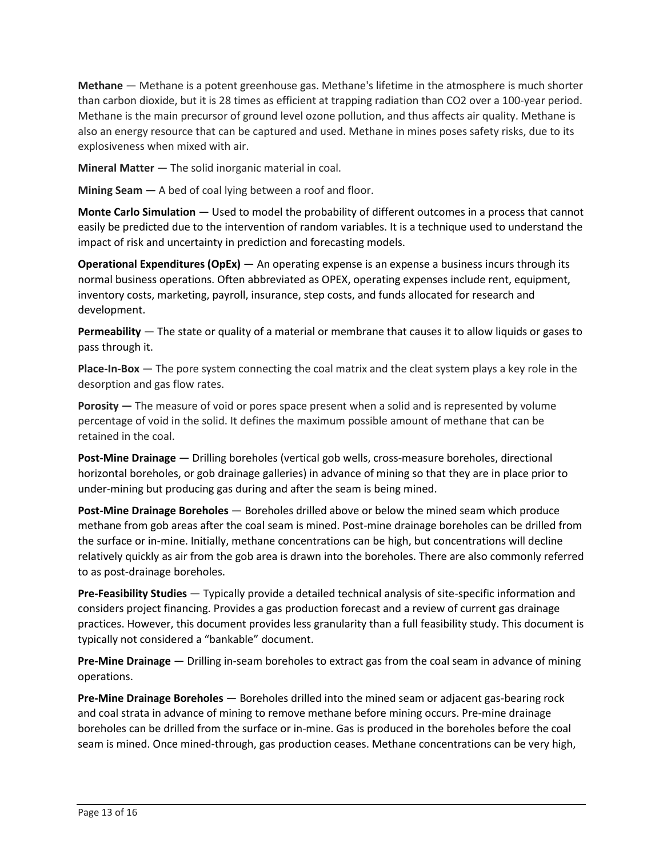**Methane** — Methane is a potent greenhouse gas. Methane's lifetime in the atmosphere is much shorter Methane is the main precursor of ground level ozone pollution, and thus affects air quality. Methane is also an energy resource that can be captured and used. Methane in mines poses safety risks, due to its than carbon dioxide, but it is 28 times as efficient at trapping radiation than CO2 over a 100-year period. explosiveness when mixed with air.

**Mineral Matter** — The solid inorganic material in coal.

**Mining Seam —** A bed of coal lying between a roof and floor.

 **Monte Carlo Simulation** — Used to model the probability of different outcomes in a process that cannot easily be predicted due to the intervention of random variables. It is a technique used to understand the impact of risk and uncertainty in prediction and forecasting models.

 **Operational Expenditures (OpEx)** — An operating expense is an expense a business incurs through its normal business operations. Often abbreviated as OPEX, operating expenses include rent, equipment, inventory costs, marketing, payroll, insurance, step costs, and funds allocated for research and development.

 **Permeability** — The state or quality of a material or membrane that causes it to allow liquids or gases to pass through it.

 **Place-In-Box** — The pore system connecting the coal matrix and the cleat system plays a key role in the desorption and gas flow rates.

 **Porosity —** The measure of void or pores space present when a solid and is represented by volume percentage of void in the solid. It defines the maximum possible amount of methane that can be retained in the coal.

 under-mining but producing gas during and after the seam is being mined. **Post-Mine Drainage** — Drilling boreholes (vertical gob wells, cross-measure boreholes, directional horizontal boreholes, or gob drainage galleries) in advance of mining so that they are in place prior to

 **Post-Mine Drainage Boreholes** — Boreholes drilled above or below the mined seam which produce methane from gob areas after the coal seam is mined. Post-mine drainage boreholes can be drilled from the surface or in-mine. Initially, methane concentrations can be high, but concentrations will decline relatively quickly as air from the gob area is drawn into the boreholes. There are also commonly referred to as post-drainage boreholes.

 **Pre-Feasibility Studies** — Typically provide a detailed technical analysis of site-specific information and considers project financing. Provides a gas production forecast and a review of current gas drainage practices. However, this document provides less granularity than a full feasibility study. This document is typically not considered a "bankable" document.

 **Pre-Mine Drainage** — Drilling in-seam boreholes to extract gas from the coal seam in advance of mining operations.

 **Pre-Mine Drainage Boreholes** — Boreholes drilled into the mined seam or adjacent gas-bearing rock seam is mined. Once mined-through, gas production ceases. Methane concentrations can be very high, and coal strata in advance of mining to remove methane before mining occurs. Pre-mine drainage boreholes can be drilled from the surface or in-mine. Gas is produced in the boreholes before the coal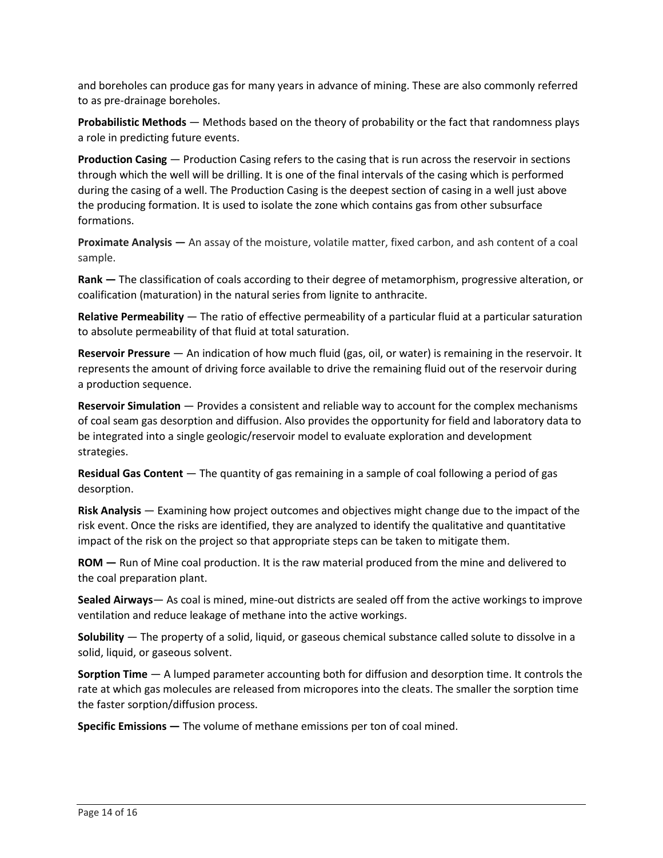and boreholes can produce gas for many years in advance of mining. These are also commonly referred to as pre-drainage boreholes.

 **Probabilistic Methods** — Methods based on the theory of probability or the fact that randomness plays a role in predicting future events.

 **Production Casing** — Production Casing refers to the casing that is run across the reservoir in sections through which the well will be drilling. It is one of the final intervals of the casing which is performed during the casing of a well. The Production Casing is the deepest section of casing in a well just above the producing formation. It is used to isolate the zone which contains gas from other subsurface formations.

 **Proximate Analysis —** An assay of the moisture, volatile matter, fixed carbon, and ash content of a coal sample.

 **Rank —** The classification of coals according to their degree of metamorphism, progressive alteration, or coalification (maturation) in the natural series from lignite to anthracite.

 **Relative Permeability** — The ratio of effective permeability of a particular fluid at a particular saturation to absolute permeability of that fluid at total saturation.

 **Reservoir Pressure** — An indication of how much fluid (gas, oil, or water) is remaining in the reservoir. It represents the amount of driving force available to drive the remaining fluid out of the reservoir during a production sequence.

 **Reservoir Simulation** — Provides a consistent and reliable way to account for the complex mechanisms of coal seam gas desorption and diffusion. Also provides the opportunity for field and laboratory data to be integrated into a single geologic/reservoir model to evaluate exploration and development strategies.

 **Residual Gas Content** — The quantity of gas remaining in a sample of coal following a period of gas desorption.

 **Risk Analysis** — Examining how project outcomes and objectives might change due to the impact of the risk event. Once the risks are identified, they are analyzed to identify the qualitative and quantitative impact of the risk on the project so that appropriate steps can be taken to mitigate them.

 **ROM —** Run of Mine coal production. It is the raw material produced from the mine and delivered to the coal preparation plant.

 ventilation and reduce leakage of methane into the active workings. **Sealed Airways**— As coal is mined, mine-out districts are sealed off from the active workings to improve

 **Solubility** — The property of a solid, liquid, or gaseous chemical substance called solute to dissolve in a solid, liquid, or gaseous solvent.

 **Sorption Time** — A lumped parameter accounting both for diffusion and desorption time. It controls the rate at which gas molecules are released from micropores into the cleats. The smaller the sorption time the faster sorption/diffusion process.

 **Specific Emissions —** The volume of methane emissions per ton of coal mined.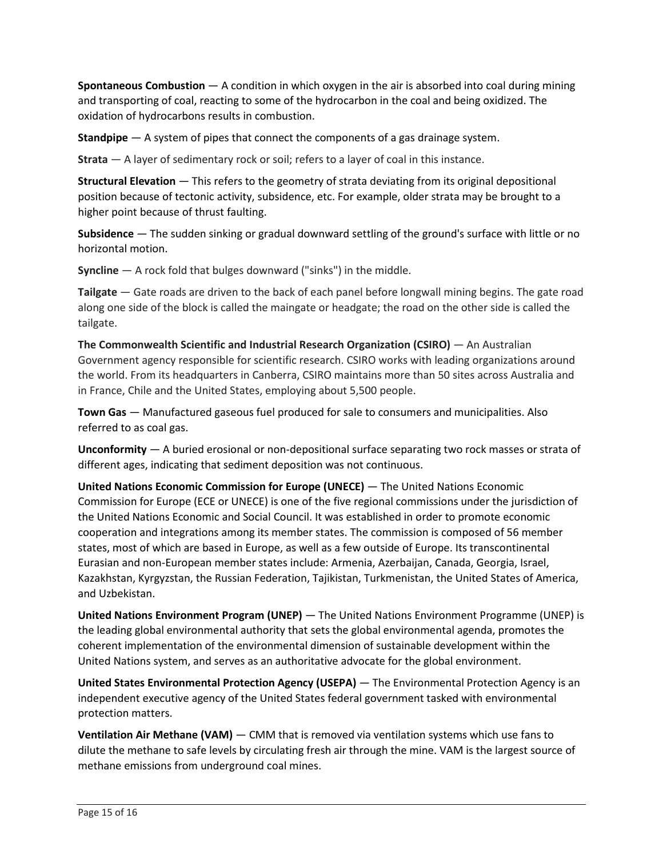**Spontaneous Combustion** — A condition in which oxygen in the air is absorbed into coal during mining and transporting of coal, reacting to some of the hydrocarbon in the coal and being oxidized. The oxidation of hydrocarbons results in combustion.

**Standpipe** — A system of pipes that connect the components of a gas drainage system.

**Strata** — A layer of sedimentary rock or soil; refers to a layer of coal in this instance.

 **Structural Elevation** — This refers to the geometry of strata deviating from its original depositional position because of tectonic activity, subsidence, etc. For example, older strata may be brought to a higher point because of thrust faulting.

 **Subsidence** — The sudden sinking or gradual downward settling of the ground's surface with little or no horizontal motion.

**Syncline** — A rock fold that bulges downward ("sinks") in the middle.

 **Tailgate** — Gate roads are driven to the back of each panel before longwall mining begins. The gate road along one side of the block is called the maingate or headgate; the road on the other side is called the tailgate.

 the world. From its headquarters in Canberra, CSIRO maintains more than 50 sites across Australia and **The Commonwealth Scientific and Industrial Research Organization (CSIRO)** — An Australian Government agency responsible for scientific research. CSIRO works with leading organizations around in France, Chile and the United States, employing about 5,500 people.

 **Town Gas** — Manufactured gaseous fuel produced for sale to consumers and municipalities. Also referred to as coal gas.

 **Unconformity** — A buried erosional or non-depositional surface separating two rock masses or strata of different ages, indicating that sediment deposition was not continuous.

 **United Nations Economic Commission for Europe (UNECE)** — The United Nations Economic Commission for Europe (ECE or UNECE) is one of the five regional commissions under the jurisdiction of states, most of which are based in Europe, as well as a few outside of Europe. Its transcontinental Kazakhstan, Kyrgyzstan, the Russian Federation, Tajikistan, Turkmenistan, the United States of America, the United Nations Economic and Social Council. It was established in order to promote economic cooperation and integrations among its member states. The commission is composed of 56 member Eurasian and non-European member states include: Armenia, Azerbaijan, Canada, Georgia, Israel, and Uzbekistan.

 **United Nations Environment Program (UNEP)** — The United Nations Environment Programme (UNEP) is the leading global environmental authority that sets the global environmental agenda, promotes the coherent implementation of the environmental dimension of sustainable development within the United Nations system, and serves as an authoritative advocate for the global environment.

 **United States Environmental Protection Agency (USEPA)** — The Environmental Protection Agency is an independent executive agency of the United States federal government tasked with environmental protection matters.

 **Ventilation Air Methane (VAM)** — CMM that is removed via ventilation systems which use fans to dilute the methane to safe levels by circulating fresh air through the mine. VAM is the largest source of methane emissions from underground coal mines.